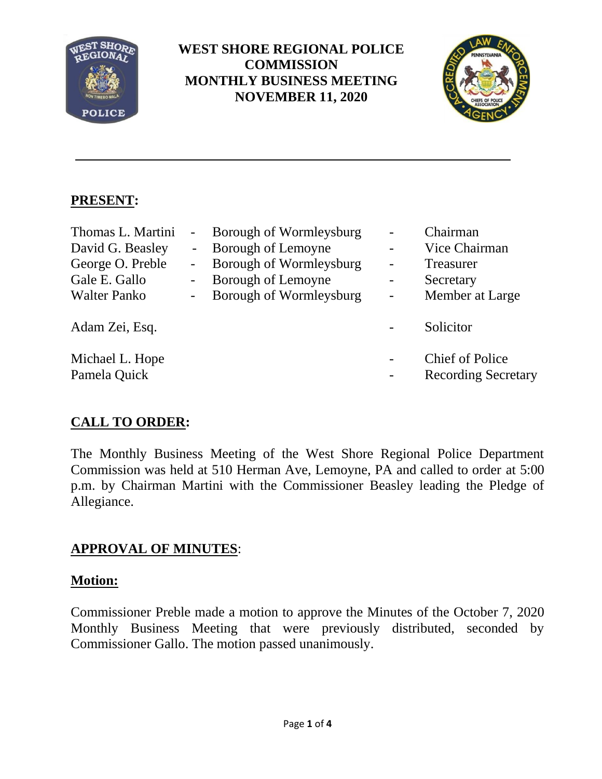

## **WEST SHORE REGIONAL POLICE COMMISSION MONTHLY BUSINESS MEETING NOVEMBER 11, 2020**



## **PRESENT:**

| Thomas L. Martini<br>David G. Beasley<br>George O. Preble<br>Gale E. Gallo<br><b>Walter Panko</b> | $\sim$<br>$\sim$<br>$\qquad \qquad \blacksquare$<br>$\blacksquare$ | Borough of Wormleysburg<br>Borough of Lemoyne<br>Borough of Wormleysburg<br>Borough of Lemoyne<br>Borough of Wormleysburg | -<br>$\overline{a}$<br>$\overline{\phantom{0}}$ | Chairman<br>Vice Chairman<br>Treasurer<br>Secretary<br>Member at Large |
|---------------------------------------------------------------------------------------------------|--------------------------------------------------------------------|---------------------------------------------------------------------------------------------------------------------------|-------------------------------------------------|------------------------------------------------------------------------|
| Adam Zei, Esq.                                                                                    |                                                                    |                                                                                                                           |                                                 | Solicitor                                                              |
| Michael L. Hope<br>Pamela Quick                                                                   |                                                                    |                                                                                                                           | $\qquad \qquad -$                               | <b>Chief of Police</b><br><b>Recording Secretary</b>                   |

# **CALL TO ORDER:**

The Monthly Business Meeting of the West Shore Regional Police Department Commission was held at 510 Herman Ave, Lemoyne, PA and called to order at 5:00 p.m. by Chairman Martini with the Commissioner Beasley leading the Pledge of Allegiance.

# **APPROVAL OF MINUTES**:

## **Motion:**

Commissioner Preble made a motion to approve the Minutes of the October 7, 2020 Monthly Business Meeting that were previously distributed, seconded by Commissioner Gallo. The motion passed unanimously.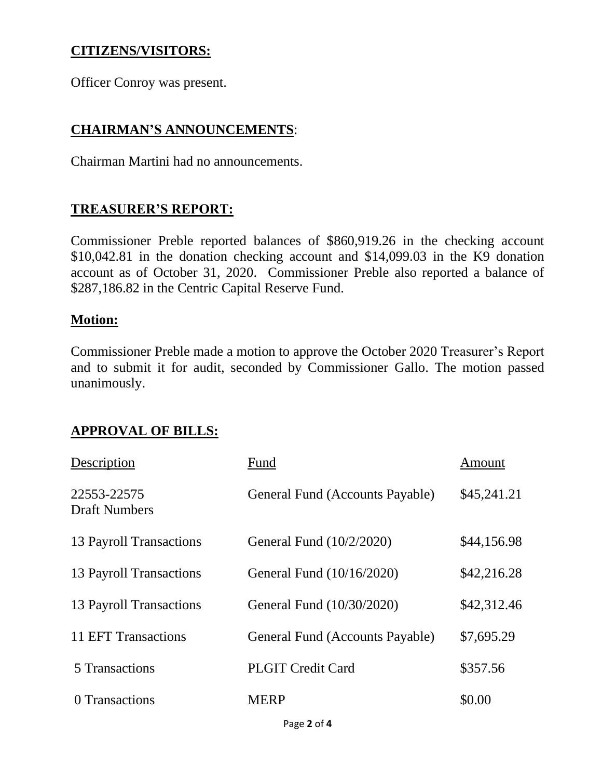### **CITIZENS/VISITORS:**

Officer Conroy was present.

## **CHAIRMAN'S ANNOUNCEMENTS**:

Chairman Martini had no announcements.

### **TREASURER'S REPORT:**

Commissioner Preble reported balances of \$860,919.26 in the checking account \$10,042.81 in the donation checking account and \$14,099.03 in the K9 donation account as of October 31, 2020. Commissioner Preble also reported a balance of \$287,186.82 in the Centric Capital Reserve Fund.

#### **Motion:**

Commissioner Preble made a motion to approve the October 2020 Treasurer's Report and to submit it for audit, seconded by Commissioner Gallo. The motion passed unanimously.

### **APPROVAL OF BILLS:**

| Description                         | Fund                            | Amount      |
|-------------------------------------|---------------------------------|-------------|
| 22553-22575<br><b>Draft Numbers</b> | General Fund (Accounts Payable) | \$45,241.21 |
| 13 Payroll Transactions             | General Fund (10/2/2020)        | \$44,156.98 |
| 13 Payroll Transactions             | General Fund (10/16/2020)       | \$42,216.28 |
| 13 Payroll Transactions             | General Fund (10/30/2020)       | \$42,312.46 |
| 11 EFT Transactions                 | General Fund (Accounts Payable) | \$7,695.29  |
| 5 Transactions                      | <b>PLGIT Credit Card</b>        | \$357.56    |
| 0 Transactions                      | <b>MERP</b>                     | \$0.00      |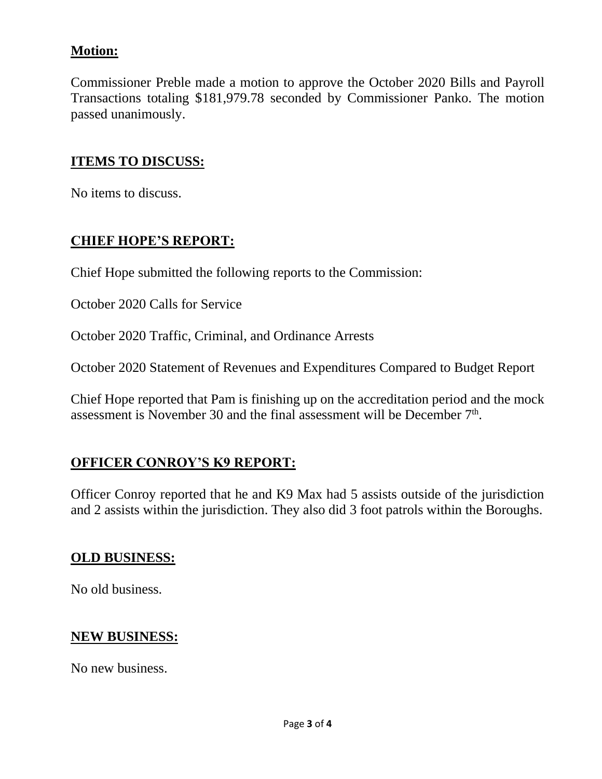## **Motion:**

Commissioner Preble made a motion to approve the October 2020 Bills and Payroll Transactions totaling \$181,979.78 seconded by Commissioner Panko. The motion passed unanimously.

#### **ITEMS TO DISCUSS:**

No items to discuss.

#### **CHIEF HOPE'S REPORT:**

Chief Hope submitted the following reports to the Commission:

October 2020 Calls for Service

October 2020 Traffic, Criminal, and Ordinance Arrests

October 2020 Statement of Revenues and Expenditures Compared to Budget Report

Chief Hope reported that Pam is finishing up on the accreditation period and the mock assessment is November 30 and the final assessment will be December  $7<sup>th</sup>$ .

## **OFFICER CONROY'S K9 REPORT:**

Officer Conroy reported that he and K9 Max had 5 assists outside of the jurisdiction and 2 assists within the jurisdiction. They also did 3 foot patrols within the Boroughs.

#### **OLD BUSINESS:**

No old business.

#### **NEW BUSINESS:**

No new business.